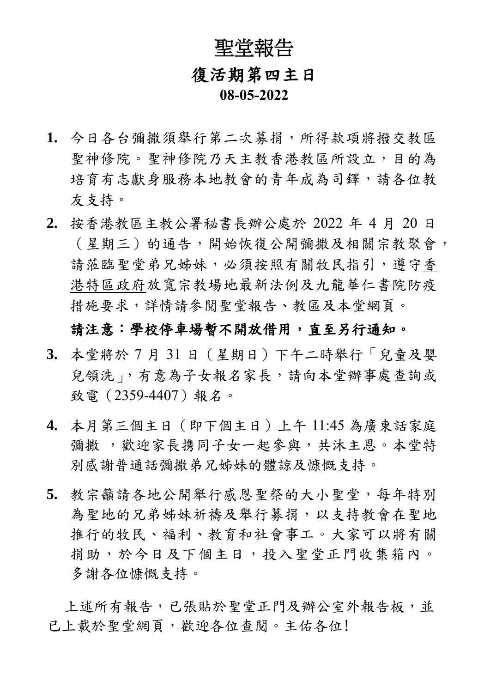# 聖堂報告 復活期第四主日 **08-05-2022**

- **1.** 今日各台彌撒須舉行第二次募捐,所得款項將撥交教區 聖神修院。聖神修院乃天主教香港教區所設立,目的為 培育有志獻身服務本地教會的青年成為司鐸,請各位教 友支持。
- **2.** 按香港教區主教公署秘書長辦公處於 2022 年 4 月 20 日 (星期三)的通告,開始恢復公開彌撒及相關宗教聚會, 請蒞臨聖堂弟兄姊妹,必須按照有關牧民指引,遵守香 港特區政府放寬宗教場地最新法例及九龍華仁書院防疫 措施要求,詳情請參閱聖堂報告、教區及本堂網頁。

#### 請注意:學校停車場暫不開放借用,直至另行通知。

- **3.** 本堂將於 7 月 31 日(星期日)下午二時舉行「兒童及嬰 兒領洗」,有意為子女報名家長,請向本堂辦事處查詢或 致電(2359-4407)報名。
- **4.** 本月第三個主日(即下個主日)上午 11:45 為廣東話家庭 彌撒,歡迎家長携同子女一起參與,共沐主恩。本堂特 別感謝普通話彌撒弟兄姊妹的體諒及慷慨支持。
- **5.** 教宗籲請各地公開舉行感恩聖祭的大小聖堂,每年特別 為聖地的兄弟姊妹祈禱及舉行募捐,以支持教會在聖地 推行的牧民、福利、教育和社會事工。大家可以將有關 捐助,於今日及下個主日,投入聖堂正門收集箱內。 多謝各位慷慨支持。

上述所有報告,已張貼於聖堂正門及辦公室外報告板,並 已上載於聖堂網頁,歡迎各位查閱。主佑各位!